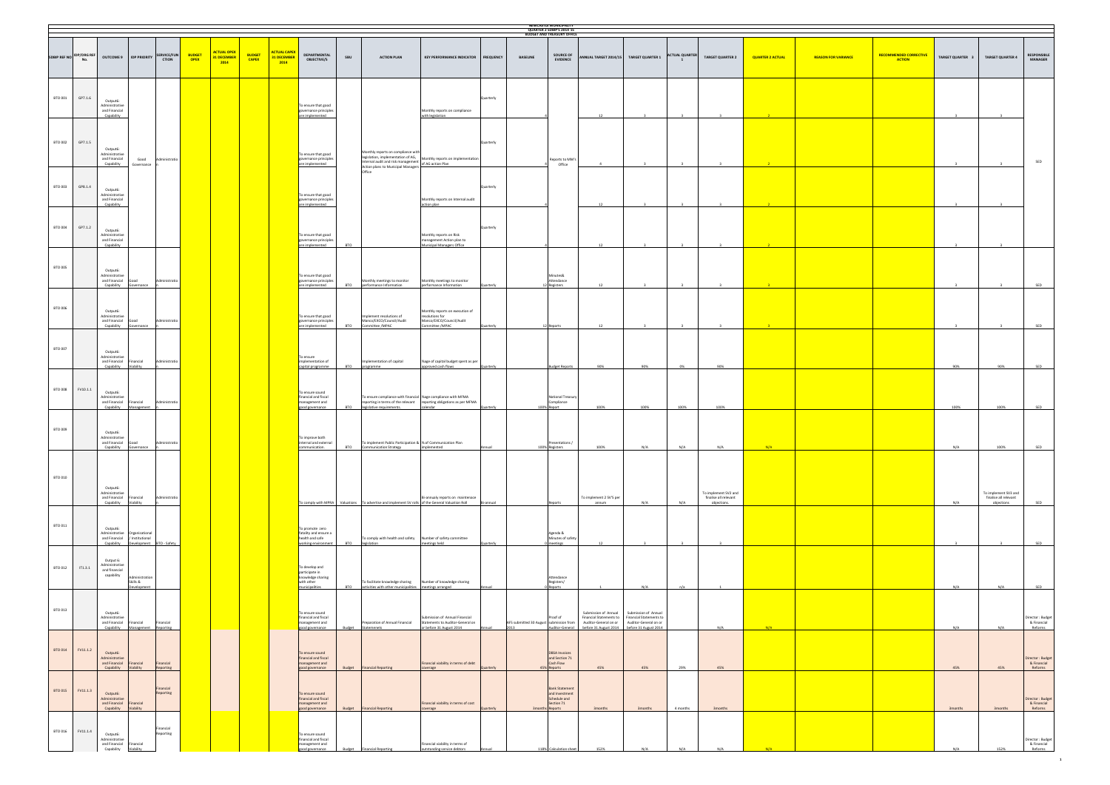|                           |                                 |                                                                           |                                                           |                             |                              |                                           |                               |                                            |                                                                                       |               |                                                                                                                                  |                                                                                                   |                  |                                                 | <b>NEWCASTLE MUNICIPALITY</b><br>QUARTER 2 SDBIP'S 2014'15<br><b>BUDGET AND TREASURY OFFICE</b> |                                                                                                                                         |                                                                          |                       |                                                              |                         |                            |                                                |                  |                                                             |                                            |
|---------------------------|---------------------------------|---------------------------------------------------------------------------|-----------------------------------------------------------|-----------------------------|------------------------------|-------------------------------------------|-------------------------------|--------------------------------------------|---------------------------------------------------------------------------------------|---------------|----------------------------------------------------------------------------------------------------------------------------------|---------------------------------------------------------------------------------------------------|------------------|-------------------------------------------------|-------------------------------------------------------------------------------------------------|-----------------------------------------------------------------------------------------------------------------------------------------|--------------------------------------------------------------------------|-----------------------|--------------------------------------------------------------|-------------------------|----------------------------|------------------------------------------------|------------------|-------------------------------------------------------------|--------------------------------------------|
|                           | <b>SDBIP REF NO IDP/ORG REF</b> | <b>OUTCOME 9</b>                                                          | <b>IDP PRIORITY</b>                                       | SERVICE/FUN<br><b>CTION</b> | <b>BUDGET</b><br><b>OPEX</b> | <b>ACTUAL OPEX</b><br>31 DECEMBER<br>2014 | <b>BUDGET</b><br><b>CAPEX</b> | <b>ACTUAL CAPEX</b><br>31 DECEMBER<br>2014 | <b>DEPARTMENTAL</b><br><b>OBJECTIVE/S</b>                                             | SBU           | <b>ACTION PLAN</b>                                                                                                               | <b>KEY PERFORMANCE INDICATOR</b>                                                                  | <b>FREQUENCY</b> | <b>BASELINE</b>                                 | <b>SOURCE OF</b><br><b>EVIDENCE</b>                                                             |                                                                                                                                         | NNUAL TARGET 2014/15 TARGET QUARTER 1                                    | <b>ACTUAL QUARTER</b> | <b>TARGET QUARTER 2</b>                                      | <b>QUARTER 2 ACTUAL</b> | <b>REASON FOR VARIANCE</b> | <b>RECOMMENDED CORRECTIVE</b><br><b>ACTION</b> | TARGET QUARTER 3 | <b>TARGET QUARTER 4</b>                                     | RESPONSIBLE<br><b>MANAGER</b>              |
| BTO 001                   | GP7.1.6                         | Output6:<br>Administrative<br>and Financial<br>Capability                 |                                                           |                             |                              |                                           |                               |                                            | To ensure that good<br>governance principles<br>are implemented                       |               |                                                                                                                                  | Monthly reports on compliance<br>with legislation                                                 | Quarterly        |                                                 |                                                                                                 |                                                                                                                                         |                                                                          |                       |                                                              |                         |                            |                                                |                  |                                                             |                                            |
| BTO 002                   | GP7.1.5                         | Output6:<br>Administrative<br>and Financial<br>Capability                 | Good<br>Governance                                        | Administratio               |                              |                                           |                               |                                            | To ensure that good<br>governance principles<br>are implemented                       |               | Monthly reports on compliance with<br>Internal audit and risk management of AG action Plan<br>Action plans to Municipal Managers | legislation, implementation of AG,<br>Monthly reports on implementation                           | Quarterly        |                                                 | Reports to MM's<br>Office                                                                       |                                                                                                                                         |                                                                          |                       |                                                              |                         |                            |                                                |                  |                                                             | SED                                        |
| BTO 003                   | GP8.1.4                         | Output6:<br>Administrative<br>and Financial<br>Capability                 |                                                           |                             |                              |                                           |                               |                                            | To ensure that good<br>governance principles<br>are implemented                       |               | Office                                                                                                                           | Monthly reports on Internal audit<br>action plan                                                  | Quarterly        |                                                 |                                                                                                 |                                                                                                                                         |                                                                          |                       |                                                              |                         |                            |                                                |                  |                                                             |                                            |
| BTO 004                   | GP7.1.2                         | Output6:<br>Administrative<br>and Financial<br>Capability                 |                                                           |                             |                              |                                           |                               |                                            | To ensure that good<br>governance principles<br>are implemented                       | <b>BTO</b>    |                                                                                                                                  | Monthly reports on Risk<br>nanagement Action plan to<br>Municipal Managers Office                 | Quarterly        |                                                 |                                                                                                 | 12                                                                                                                                      |                                                                          |                       |                                                              |                         |                            |                                                |                  |                                                             |                                            |
| BTO 005                   |                                 | Output6:<br>Administrative<br>and Financial Good<br>Capability            | Governance                                                | Administratio               |                              |                                           |                               |                                            | To ensure that good<br>governance principles<br>are implemented                       | <b>BTO</b>    | Monthly meetings to monitor<br>performance Information                                                                           | Monthly meetings to monitor<br>performance Information                                            |                  |                                                 | Minutes&<br>Attendance<br>Registers                                                             |                                                                                                                                         |                                                                          |                       |                                                              |                         |                            |                                                |                  |                                                             |                                            |
| BTO 006                   |                                 | Output6:<br>Administrative<br>and Financial<br>Capability                 | Good<br>Governance                                        |                             |                              |                                           |                               |                                            | To ensure that good<br>governance principles<br>are implemented                       | <b>BTO</b>    | mplement resolutions of<br>Manco/EXCO/Council/Audit<br>Committee /MPAC                                                           | Monthly reports on execution of<br>resolutions for<br>Manco/EXCO/Council/Audit<br>Committee /MPAC | uarterly         |                                                 | 12 Reports                                                                                      |                                                                                                                                         |                                                                          |                       |                                                              |                         |                            |                                                |                  |                                                             |                                            |
| BTO 007                   |                                 | Output6:<br>Administrative<br>and Financial Financial<br>Capability       | Viability                                                 | Administratio               |                              |                                           |                               |                                            | To ensure<br>implementation of<br>capital programme                                   | <b>BTO</b>    | mplementation of capital<br>programme                                                                                            | %age of capital budget spent as per<br>approved cash flows                                        | luarterly        |                                                 | <b>Budget Reports</b>                                                                           | 90%                                                                                                                                     | 90%                                                                      | 0%                    | 90%                                                          |                         |                            |                                                | 90%              | 90%                                                         |                                            |
| <b>BTO 008</b><br>BTO 009 | FV10.1.1                        | Output6:<br>Administrative<br>and Financial Financial<br>Capability       | Management                                                | Administratio               |                              |                                           |                               |                                            | To ensure sound<br>financial and fiscal<br>management and<br>good governance          | <b>BTO</b>    | To ensure compliance with financial %age compliance with MFMA<br>legislative requirements.                                       | reporting in terms of the relevant reporting obligations as per MFMA<br>calendar                  | uarterly         |                                                 | National Treasury<br>Compliance<br>100% Report                                                  | 100%                                                                                                                                    | 100%                                                                     | 100%                  | 100%                                                         |                         |                            |                                                | 100%             | 100%                                                        | SED                                        |
|                           |                                 | Output6:<br>Administrative<br>and Financial Good<br>Capability Governance |                                                           | iinistrat                   |                              |                                           |                               |                                            | To improve both<br>internal and external<br>communication.                            | <b>BTO</b>    | To implement Public Participation & % of Communication Plan<br><b>Communication Strategy</b>                                     | implemented                                                                                       |                  |                                                 | Presentations /<br>100% Registers                                                               | 100%                                                                                                                                    | N/A                                                                      | N/A                   | N/A                                                          | N/A                     |                            |                                                | N/A              | 100%                                                        |                                            |
| BTO 010                   |                                 | Output6:<br>Administrative<br>and Financial<br>Capability                 | Financial<br>Viability                                    | Administratio               |                              |                                           |                               |                                            |                                                                                       |               | To comply with MPRA Valuations To advertise and implement SV rolls of the General Valuation Roll                                 | Bi-annualy reports on maintenace                                                                  | Bi-annual        |                                                 | eports                                                                                          | To implement 2 SV'S per<br>annum                                                                                                        | N/A                                                                      | N/A                   | To implement SV2 and<br>finalise all relevant<br>objections. |                         |                            |                                                | N/A              | To implement SV3 and<br>finalise all relevant<br>objections |                                            |
| BTO 011                   |                                 | Output6:<br>Administrative Organizational<br>Capability<br>Output 6:      | and Financial / Institutional<br>Development BTO - Safety |                             |                              |                                           |                               |                                            | To promote zero<br>fatality and ensure a<br>health and safe<br>working environment    | <b>BTO</b>    | To comply with health and safety Number of safety committee<br>legislation                                                       | meetings held                                                                                     |                  |                                                 | Agenda &<br>Minutes of safety<br>meetings                                                       | 12                                                                                                                                      |                                                                          |                       |                                                              |                         |                            |                                                |                  |                                                             |                                            |
| BTO 012                   | T1.3.1                          | Administrative<br>and financial<br>capability                             | Administration<br>Skills &<br>Development                 |                             |                              |                                           |                               |                                            | To develop and<br>participate in<br>knowledge sharing<br>with other<br>municipalities | <b>BTO</b>    | To facilitate knowledge sharing Number of knowledge sharing<br>activities with other municipalities meetings arranged            |                                                                                                   |                  |                                                 | Attendance<br>Registers/<br>Reports                                                             |                                                                                                                                         | N/A                                                                      | n/a                   |                                                              |                         |                            |                                                | N/A              | N/A                                                         |                                            |
| BTO 013                   |                                 | Output6:<br>Administrative<br>and Financial Financial<br>Capability       | Management Reporting                                      | Financial                   |                              |                                           |                               |                                            | To ensure sound<br>financial and fiscal<br>management and<br>good governance          | Budget        | Preparation of Annual Financial<br>Statemenets                                                                                   | Submission of Annual Financial<br>Statements to Auditor-General on<br>or before 31 August 2014    |                  | AFS submitted 30 August submission from<br>2013 | Proof of                                                                                        | Submission of Annual<br>Financial Statements to<br>Auditor-General on or<br>Auditor-General before 31 August 2014 before 31 August 2014 | Submission of Annual<br>Financial Statements to<br>Auditor-General on or |                       | N/A                                                          | N/A                     |                            |                                                | N/A              | N/A                                                         | Director: Budget<br>& Financial<br>Reforms |
| BTO 014                   | FV11.1.2                        | Output6:<br>Administrative<br>and Financial Financial<br>Capability       | Viability                                                 | Financial<br>Reporting      |                              |                                           |                               |                                            | To ensure sound<br>financial and fiscal<br>management and<br>good governance          |               | <b>Budget</b> Financial Reporting                                                                                                | Financial viability in terms of debt<br>overage                                                   |                  |                                                 | <b>DBSA Invoices</b><br>and Section 71<br>Cash Flow<br>45% Reports                              | 45%                                                                                                                                     | 45%                                                                      | 29%                   | 45%                                                          |                         |                            |                                                | 45%              | 45%                                                         | Director: Budget<br>& Financial<br>Reforms |
| BTO 015                   | FV11.1.3                        | Output6:<br>Administrative<br>and Financial Financial<br>Capability       | Viability                                                 | Financial<br>Reporting      |                              |                                           |                               |                                            | To ensure sound<br>financial and fiscal<br>management and<br>good governance          | Budget        | <b>Financial Reporting</b>                                                                                                       | Financial viability in terms of cost<br>overage                                                   |                  |                                                 | <b>Bank Statement</b><br>and Investment<br>Schedule and<br>Section 71<br>Reports                | 3months                                                                                                                                 | 3months                                                                  | 4 months              | 3months                                                      |                         |                            |                                                | <b>3months</b>   | <b>3months</b>                                              | Director: Budget<br>& Financial<br>Reforms |
| BTO 016                   | FV11.1.4                        | Output6:<br>Administrative<br>and Financial<br>Capability                 | Financial<br>Viability                                    | Financial<br>Reporting      |                              |                                           |                               |                                            | To ensure sound<br>financial and fiscal<br>management and<br>good governance          | <b>Budget</b> | <b>Financial Reporting</b>                                                                                                       | Financial viability in terms of<br>utstanding service debtors                                     |                  |                                                 | 118% Calculation sheet                                                                          | 152%                                                                                                                                    | N/A                                                                      | N/A                   |                                                              |                         |                            |                                                |                  | 152%                                                        | Director: Budget<br>& Financial<br>Reforms |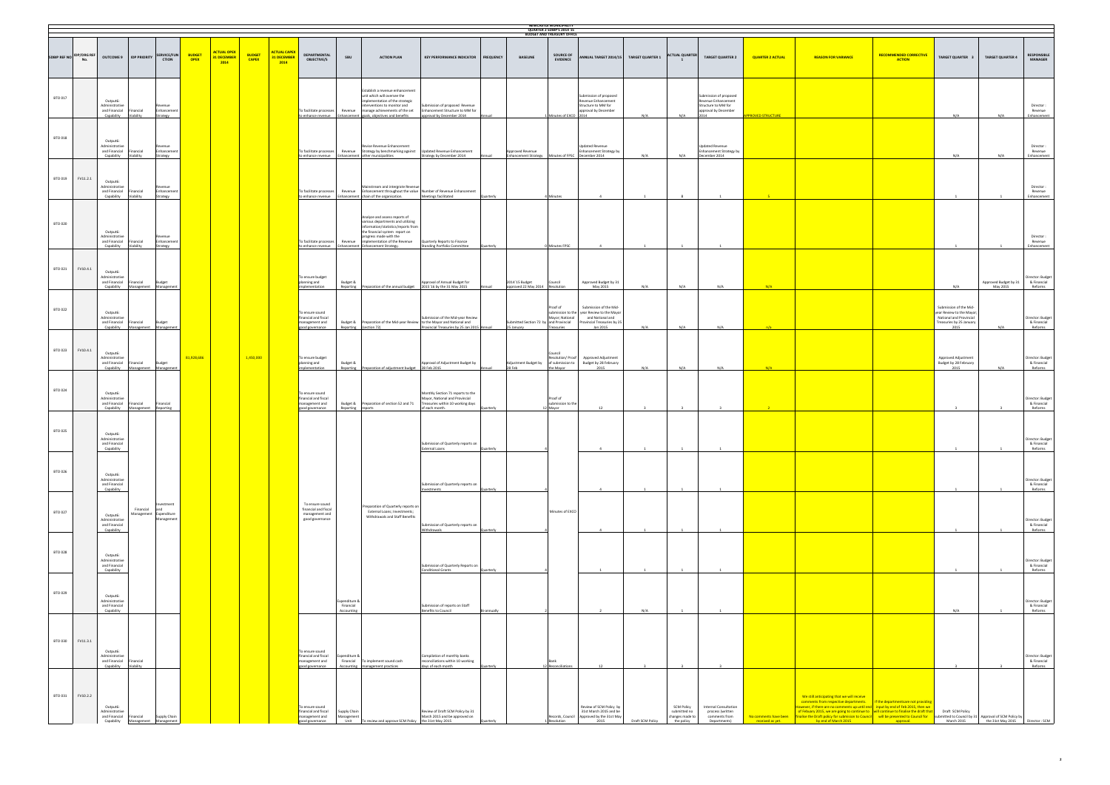| NEWCASTLE MUNICIPALITY<br>QUARTER 2 SDBIP'S 2014'15<br><b>BUDGET AND TREASURY OFFICE</b> |                                 |                                                           |                                             |                                                   |                              |                                           |                               |                                                 |                                                                              |                                          |                                                                                                                                                                                                                                             |                                                                                                                                       |             |                                                                        |                                                               |                                                                                                                                     |                  |                                                                    |                                                                                                      |                                           |                                                                                                                                                                                                                                                                                                                                                                                                                                                                                   |                                                |                                                                                                                   |                                            |                                            |
|------------------------------------------------------------------------------------------|---------------------------------|-----------------------------------------------------------|---------------------------------------------|---------------------------------------------------|------------------------------|-------------------------------------------|-------------------------------|-------------------------------------------------|------------------------------------------------------------------------------|------------------------------------------|---------------------------------------------------------------------------------------------------------------------------------------------------------------------------------------------------------------------------------------------|---------------------------------------------------------------------------------------------------------------------------------------|-------------|------------------------------------------------------------------------|---------------------------------------------------------------|-------------------------------------------------------------------------------------------------------------------------------------|------------------|--------------------------------------------------------------------|------------------------------------------------------------------------------------------------------|-------------------------------------------|-----------------------------------------------------------------------------------------------------------------------------------------------------------------------------------------------------------------------------------------------------------------------------------------------------------------------------------------------------------------------------------------------------------------------------------------------------------------------------------|------------------------------------------------|-------------------------------------------------------------------------------------------------------------------|--------------------------------------------|--------------------------------------------|
|                                                                                          | SDBIP REF NO IDP/ORG REF<br>No. | <b>OUTCOME 9</b>                                          | <b>IDP PRIORITY</b>                         | <b>SERVICE/FUN</b><br><b>CTION</b>                | <b>BUDGET</b><br><b>OPEX</b> | <b>ACTUAL OPEX</b><br>31 DECEMBER<br>2014 | <b>BUDGET</b><br><b>CAPEX</b> | <b>ACTUAL CAPE</b><br><b>31 DECEMBE</b><br>2014 | <b>DEPARTMENTAL</b><br><b>OBJECTIVE/S</b>                                    | SBU                                      | <b>ACTION PLAN</b>                                                                                                                                                                                                                          | KEY PERFORMANCE INDICATOR FREQUENCY                                                                                                   |             | <b>BASELINE</b>                                                        | <b>SOURCE OF</b><br><b>EVIDENCE</b>                           | ANNUAL TARGET 2014/15 TARGET QUARTER 1                                                                                              |                  | <b>ACTUAL QUARTER</b>                                              | <b>TARGET QUARTER 2</b>                                                                              | <b>QUARTER 2 ACTUAL</b>                   | <b>REASON FOR VARIANCE</b>                                                                                                                                                                                                                                                                                                                                                                                                                                                        | <b>RECOMMENDED CORRECTIVE</b><br><b>ACTION</b> | TARGET QUARTER 3                                                                                                  | <b>TARGET QUARTER 4</b>                    | <b>RESPONSIBLE</b><br><b>MANAGER</b>       |
| BTO 017                                                                                  |                                 | Output6:<br>Administrative<br>Capability                  | and Financial Financial<br>Viability        | tevenue<br>Enhancement<br>Strategy                |                              |                                           |                               |                                                 | To facilitate processes                                                      |                                          | Establish a revenue enhancement<br>init which will oversee the<br>nplementation of the strategic<br>interventions to monitor and<br>to enhance revenue Enhancement goals, objectives and benefits                                           | iubmission of proposed Revenue<br>Revenue manage achievements of the set Enhancement Structure to MM for<br>approval by December 2014 | Annual      |                                                                        | Minutes of EXCO 2014                                          | submission of proposed<br>Revenue Enhancement<br>Structure to MM for<br>approval by December                                        | N/A              | N/A                                                                | Submission of proposed<br>Revenue Enhancement<br>Structure to MM for<br>approval by December<br>2014 | <b>PPROVED STRUCTURE</b>                  |                                                                                                                                                                                                                                                                                                                                                                                                                                                                                   |                                                | N/A                                                                                                               | N/A                                        | Director:<br>Revenue<br>Enhancement        |
| BTO 018                                                                                  |                                 | Output6:<br>Administrative<br>and Financial<br>Capability | Financial<br>Viability                      | Enhancement<br>Strategy                           |                              |                                           |                               |                                                 | To facilitate processes                                                      |                                          | Revise Revenue Enhancement<br>Revenue Strategy by benchmarking against<br>to enhance revenue Enhancement other municipalities                                                                                                               | Updated Revenue Enhancement<br>Strategy by December 2014                                                                              | Annual      | Approved Revenue<br>Enhancement Strategy Minutes of FPSC December 2014 |                                                               | Jpdated Revenue<br><b>Enhancement Strategy by</b>                                                                                   | N/A              | N/A                                                                | <b>Jpdated Revenue</b><br><b>Enhancement Strategy by</b><br>December 2014                            |                                           |                                                                                                                                                                                                                                                                                                                                                                                                                                                                                   |                                                | N/A                                                                                                               | N/A                                        | Director:<br>Revenue<br>Enhancement        |
| BTO 019                                                                                  | FV11.2.1                        | Output6:<br>Administrative<br>Capability                  | and Financial Financial<br><b>Jiahility</b> | tevenue<br>Enhancement<br>trategy                 |                              |                                           |                               |                                                 | To facilitate processes                                                      |                                          | Mainstream and intergrate Revenue<br>to enhance revenue Enhancement chain of the organisation.                                                                                                                                              | Revenue Enhancement throughout the value Number of Revenue Enhancement<br>Meetings facilitated                                        | Quarterly   |                                                                        | Minutes                                                       |                                                                                                                                     |                  |                                                                    |                                                                                                      |                                           |                                                                                                                                                                                                                                                                                                                                                                                                                                                                                   |                                                |                                                                                                                   |                                            | Director:<br>Revenue<br>Enhancement        |
| BTO 020                                                                                  |                                 | Output6:<br>Administrative<br>and Financial<br>Capability | Financial<br>Viability                      | Enhancement<br>trategy                            |                              |                                           |                               |                                                 | To facilitate processes<br>to enhance revenue                                | Revenue                                  | Analyze and assess reports of<br>various departments and utilizing<br>information/statistics/reports from<br>the financial system report on<br>progress made with the<br>implementation of the Revenue<br>Enhancement Enhancement Strategy. | Quarterly Reports to Finance<br><b>Standing Portfolio Committee</b>                                                                   | Quarterly   |                                                                        | Minutes FPSC                                                  |                                                                                                                                     |                  |                                                                    |                                                                                                      |                                           |                                                                                                                                                                                                                                                                                                                                                                                                                                                                                   |                                                |                                                                                                                   |                                            | Director:<br>Revenue<br>Enhancement        |
| BTO 021                                                                                  | FV10.4.1                        | Output6:<br>Administrative<br>Capability                  | and Financial Financial                     | <b>Budget</b><br>Management Management            |                              |                                           |                               |                                                 | To ensure budget<br>planning and<br>implementation                           | Budget &                                 | Reporting Preparation of the annual budget 2015'16 by the 31 May 2015                                                                                                                                                                       | Approval of Annual Budget for                                                                                                         |             | 2014'15 Budget<br>approved 22 May 2014 Resolution                      | Council                                                       | Approved Budget by 31<br>May 2015                                                                                                   | N/A              | N/A                                                                | N/A                                                                                                  | N/A                                       |                                                                                                                                                                                                                                                                                                                                                                                                                                                                                   |                                                | N/A                                                                                                               | Approved Budget by 31<br>May 2015          | Director: Budget<br>& Financial<br>Reforms |
| BTO 022                                                                                  |                                 | Output6:<br>Administrative<br>Capability                  | and Financial Financial                     | Budget<br>Management Management                   |                              |                                           |                               |                                                 | To ensure sound<br>financial and fiscal<br>management and<br>good governance |                                          | Budget & Preparation of the Mid-year Review to the Mayor and National and<br>Reporting (section 72)                                                                                                                                         | Ibmission of the Mid-year Review<br>Provincial Treasuries by 25 Jan 2015 Annual                                                       |             | Submitted Section 72 by and Provincial<br>25 January                   | Proof of<br>Mayor; National<br>Treasuries                     | Submission of the Mid-<br>submission to the year Review to the Mayor<br>and National and<br>Provincial Treasuries by 25<br>Jan 2015 | N/A              | N/A                                                                | N/A                                                                                                  |                                           |                                                                                                                                                                                                                                                                                                                                                                                                                                                                                   |                                                | Submission of the Mid-<br>year Review to the Mayor<br>National and Provincial<br>Treasuries by 25 January<br>2015 | N/A                                        | Director: Budget<br>& Financial<br>Reforms |
| <b>BTO 023</b>                                                                           | FV10.4.1                        | Output6:<br>Administrative<br>and Financial               | Financial                                   | <b>Budget</b><br>Capability Management Management | 81,928,686                   |                                           | 1,450,000                     |                                                 | To ensure budget<br>planning and<br>implementation                           | Budget &                                 | Reporting Preparation of adjustment budget 28 Feb 2015                                                                                                                                                                                      | Approval of Adjustment Budget by                                                                                                      | Annual      | Adjustment Budget by<br>28 Feb                                         | Council<br>Resolution/ Proof<br>of submission to<br>the Mayor | Approved Adjustment<br>Budget by 28 February<br>2015                                                                                | N/A              | N/A                                                                | N/A                                                                                                  |                                           |                                                                                                                                                                                                                                                                                                                                                                                                                                                                                   |                                                | Approved Adjustment<br>Budget by 28 February<br>2015                                                              | N/A                                        | Director: Budget<br>& Financial<br>Reforms |
| BTO 024                                                                                  |                                 | Output6:<br>Administrative<br>and Financial               | Financial                                   | Financial<br>Capability Management Reporting      |                              |                                           |                               |                                                 | To ensure sound<br>financial and fiscal<br>management and<br>good governance | Reporting reports                        | Budget & Preparation of section 52 and 71                                                                                                                                                                                                   | Monthly Section 71 reports to the<br>Mayor, National and Provincial<br>Treasuries within 10 working days<br>of each month.            | Quarterly   |                                                                        | Proof of<br>submission to the<br>12 Mayor                     | 12                                                                                                                                  |                  | $\overline{z}$                                                     |                                                                                                      |                                           |                                                                                                                                                                                                                                                                                                                                                                                                                                                                                   |                                                |                                                                                                                   |                                            | Director: Budget<br>& Financial<br>Reforms |
| BTO 025                                                                                  |                                 | Output6:<br>Administrative<br>and Financial<br>Capability |                                             |                                                   |                              |                                           |                               |                                                 |                                                                              |                                          |                                                                                                                                                                                                                                             | ubmission of Quarterly reports on<br>External Loans                                                                                   | Quarterly   |                                                                        |                                                               |                                                                                                                                     |                  |                                                                    |                                                                                                      |                                           |                                                                                                                                                                                                                                                                                                                                                                                                                                                                                   |                                                |                                                                                                                   |                                            | Director: Budget<br>& Financial<br>Reforms |
| BTO 026                                                                                  |                                 | Output6:<br>Administrative<br>and Financial<br>Capability |                                             | restment                                          |                              |                                           |                               |                                                 | To ensure sound                                                              |                                          |                                                                                                                                                                                                                                             | iubmission of Quarterly reports on<br><b>nvestments</b>                                                                               | Quarterly   |                                                                        |                                                               |                                                                                                                                     |                  |                                                                    |                                                                                                      |                                           |                                                                                                                                                                                                                                                                                                                                                                                                                                                                                   |                                                |                                                                                                                   | Director: Budget<br>& Financial<br>Reforms |                                            |
| BTO 027                                                                                  |                                 | Output6:<br>Administrative<br>and Financial<br>Capability | Financial                                   | and<br>Management Expenditure<br>Management       |                              |                                           |                               |                                                 | financial and fiscal<br>management and<br>good governance                    |                                          | Preparation of Quarterly reports on<br>External Loans; Investments;<br>Withdrawals and Staff Benefits                                                                                                                                       | ubmission of Quarterly reports on<br>Withdrawals                                                                                      | luarterly   |                                                                        | Minutes of EXCO                                               |                                                                                                                                     |                  |                                                                    |                                                                                                      |                                           |                                                                                                                                                                                                                                                                                                                                                                                                                                                                                   |                                                |                                                                                                                   |                                            | Director: Budget<br>& Financial<br>Reforms |
| BTO 028                                                                                  |                                 | Output6:<br>Administrative<br>and Financial<br>Capability |                                             |                                                   |                              |                                           |                               |                                                 |                                                                              |                                          |                                                                                                                                                                                                                                             | iubmission of Quarterly Reports on<br><b>Conditional Grants</b>                                                                       | Quarterly   |                                                                        |                                                               |                                                                                                                                     |                  |                                                                    |                                                                                                      |                                           |                                                                                                                                                                                                                                                                                                                                                                                                                                                                                   |                                                |                                                                                                                   |                                            | Director: Budget<br>& Financial<br>Reforms |
| BTO 029                                                                                  |                                 | Output6:<br>Administrative<br>and Financial<br>Capability |                                             |                                                   |                              |                                           |                               |                                                 |                                                                              | Expenditure &<br>Financial<br>Accounting |                                                                                                                                                                                                                                             | Submission of reports on Staff<br>Benefits to Council                                                                                 | ii-annually |                                                                        |                                                               |                                                                                                                                     | N/A              |                                                                    |                                                                                                      |                                           |                                                                                                                                                                                                                                                                                                                                                                                                                                                                                   |                                                | N/A                                                                                                               |                                            | Director: Budget<br>& Financial<br>Reforms |
| <b>BTO 030</b>                                                                           | FV11.3.1                        | Output6:<br>Administrative<br>Capability                  | and Financial Financial<br>Viability        |                                                   |                              |                                           |                               |                                                 | To ensure sound<br>financial and fiscal<br>management and<br>good governance | Expenditure &<br>Accounting              | Financial To implement sound cash<br>management practices                                                                                                                                                                                   | Compilation of monthly banks<br>reconciliations within 10 working<br>lays of each month                                               | luarterly   |                                                                        | Bank<br>12 Reconciliations                                    | 12                                                                                                                                  |                  |                                                                    |                                                                                                      |                                           |                                                                                                                                                                                                                                                                                                                                                                                                                                                                                   |                                                |                                                                                                                   |                                            | Director: Budget<br>& Financial<br>Reforms |
| BTO 031                                                                                  | FV10.2.2                        | Output6:<br>Administrative<br>and Financial<br>Capability | <b>Financial</b>                            | Supply Chain<br>inagement                         |                              |                                           |                               |                                                 | To ensure sound<br>financial and fiscal<br>management and<br>good governance | Supply Chain<br>Management<br>Unit       | o review and approve SCM Policy                                                                                                                                                                                                             | Review of Draft SCM Policy by 31<br>March 2015 and be approved on<br>the 31st May 2015                                                |             |                                                                        | Records, Council<br>Resolution                                | Review of SCM Policy by<br>31st March 2015 and be<br>Approved by the 31st May<br>2015                                               | Draft SCM Policy | <b>SCM Policy</b><br>submitted no<br>changes made to<br>the policy | <b>Internal Consultation</b><br>process (written<br>comments from<br>Departments)                    | No comments have been<br>received as yet. | We still anticipating that we will receive<br>comments from respective departments.   If the departmentsare not providing<br>lowever, if there are no comments up until end <b>ht</b> input by end of Feb 2015, then we<br>of Febuary 2015, we are going to continue to swill continue to finalise the draft that Draft SCM Policy Principle Unity of SCM Policy by Indian enterprise to Council or School of SCM Policy by Indian enterprise unity of th<br>by end of March 2015 | approval.                                      | March 2015                                                                                                        | the 31st May 2015                          | Director: SCM                              |